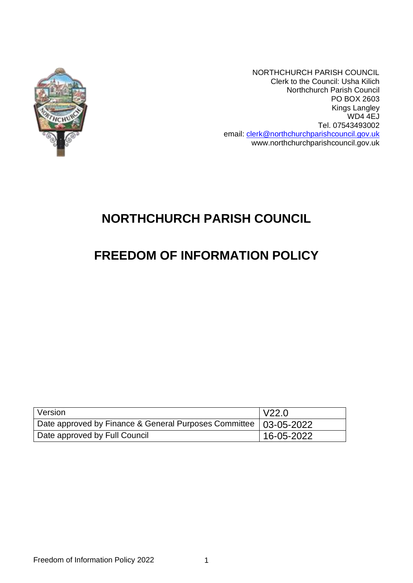

NORTHCHURCH PARISH COUNCIL Clerk to the Council: Usha Kilich Northchurch Parish Council PO BOX 2603 Kings Langley WD4 4EJ Tel. 07543493002 email: [clerk@northchurchparishcouncil.gov.uk](mailto:clerk@northchurchparishcouncil.gov.uk) www.northchurchparishcouncil.gov.uk

# **NORTHCHURCH PARISH COUNCIL**

## **FREEDOM OF INFORMATION POLICY**

| Version                                                            | $\overline{\phantom{0}}$ V22.0 |
|--------------------------------------------------------------------|--------------------------------|
| Date approved by Finance & General Purposes Committee   03-05-2022 |                                |
| Date approved by Full Council                                      | $16 - 05 - 2022$               |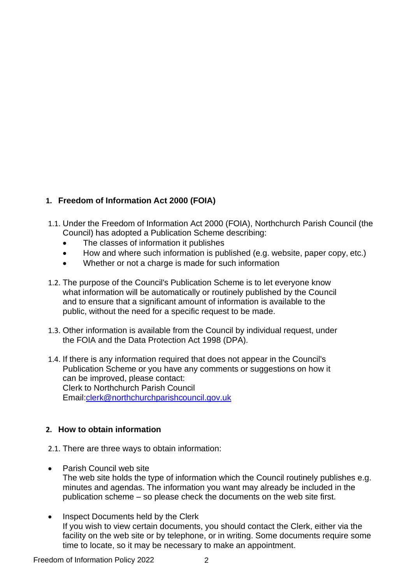## **1. Freedom of Information Act 2000 (FOIA)**

- 1.1. Under the Freedom of Information Act 2000 (FOIA), Northchurch Parish Council (the Council) has adopted a Publication Scheme describing:
	- The classes of information it publishes
	- How and where such information is published (e.g. website, paper copy, etc.)
	- Whether or not a charge is made for such information
- 1.2. The purpose of the Council's Publication Scheme is to let everyone know what information will be automatically or routinely published by the Council and to ensure that a significant amount of information is available to the public, without the need for a specific request to be made.
- 1.3. Other information is available from the Council by individual request, under the FOIA and the Data Protection Act 1998 (DPA).
- 1.4. If there is any information required that does not appear in the Council's Publication Scheme or you have any comments or suggestions on how it can be improved, please contact: Clerk to Northchurch Parish Council Email[:clerk@northchurchparishcouncil.gov.uk](mailto:clerk@northchurchparishcouncil.gov.uk)

## **2. How to obtain information**

- 2.1. There are three ways to obtain information:
- Parish Council web site The web site holds the type of information which the Council routinely publishes e.g. minutes and agendas. The information you want may already be included in the publication scheme – so please check the documents on the web site first.
- Inspect Documents held by the Clerk If you wish to view certain documents, you should contact the Clerk, either via the facility on the web site or by telephone, or in writing. Some documents require some time to locate, so it may be necessary to make an appointment.

Freedom of Information Policy 2022 2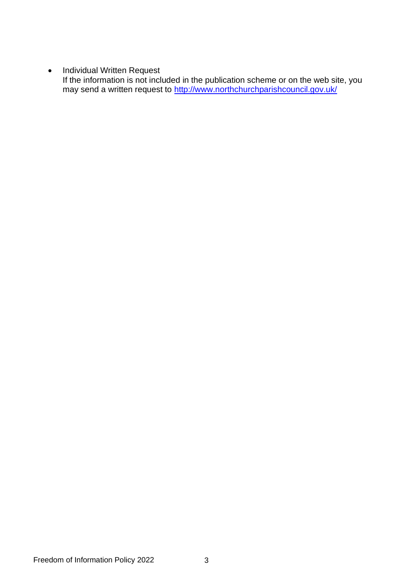• Individual Written Request

If the information is not included in the publication scheme or on the web site, you may send a written request to <u>http://www.northchurchparishcouncil.gov.uk/</u>